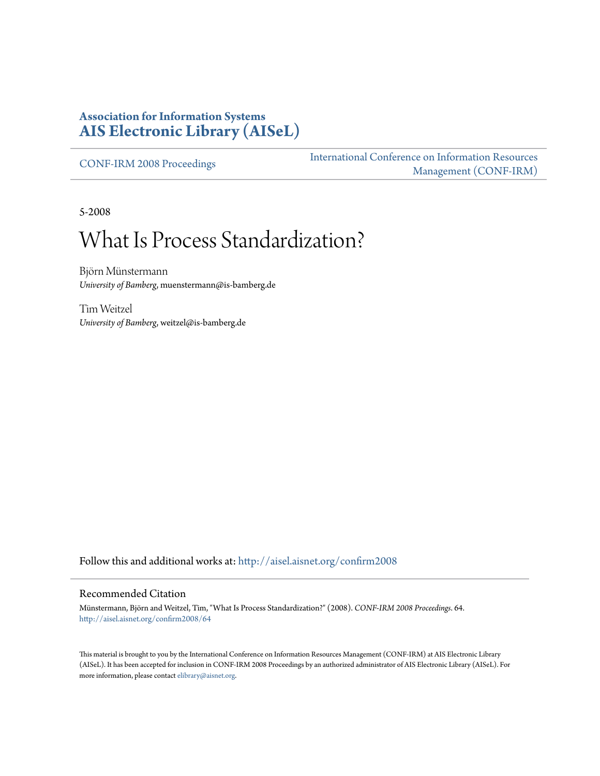### **Association for Information Systems [AIS Electronic Library \(AISeL\)](http://aisel.aisnet.org?utm_source=aisel.aisnet.org%2Fconfirm2008%2F64&utm_medium=PDF&utm_campaign=PDFCoverPages)**

[CONF-IRM 2008 Proceedings](http://aisel.aisnet.org/confirm2008?utm_source=aisel.aisnet.org%2Fconfirm2008%2F64&utm_medium=PDF&utm_campaign=PDFCoverPages)

[International Conference on Information Resources](http://aisel.aisnet.org/conf-irm?utm_source=aisel.aisnet.org%2Fconfirm2008%2F64&utm_medium=PDF&utm_campaign=PDFCoverPages) [Management \(CONF-IRM\)](http://aisel.aisnet.org/conf-irm?utm_source=aisel.aisnet.org%2Fconfirm2008%2F64&utm_medium=PDF&utm_campaign=PDFCoverPages)

5-2008

# What Is Process Standardization?

Björn Münstermann *University of Bamberg*, muenstermann@is-bamberg.de

Tim Weitzel *University of Bamberg*, weitzel@is-bamberg.de

Follow this and additional works at: [http://aisel.aisnet.org/confirm2008](http://aisel.aisnet.org/confirm2008?utm_source=aisel.aisnet.org%2Fconfirm2008%2F64&utm_medium=PDF&utm_campaign=PDFCoverPages)

#### Recommended Citation

Münstermann, Björn and Weitzel, Tim, "What Is Process Standardization?" (2008). *CONF-IRM 2008 Proceedings*. 64. [http://aisel.aisnet.org/confirm2008/64](http://aisel.aisnet.org/confirm2008/64?utm_source=aisel.aisnet.org%2Fconfirm2008%2F64&utm_medium=PDF&utm_campaign=PDFCoverPages)

This material is brought to you by the International Conference on Information Resources Management (CONF-IRM) at AIS Electronic Library (AISeL). It has been accepted for inclusion in CONF-IRM 2008 Proceedings by an authorized administrator of AIS Electronic Library (AISeL). For more information, please contact [elibrary@aisnet.org.](mailto:elibrary@aisnet.org%3E)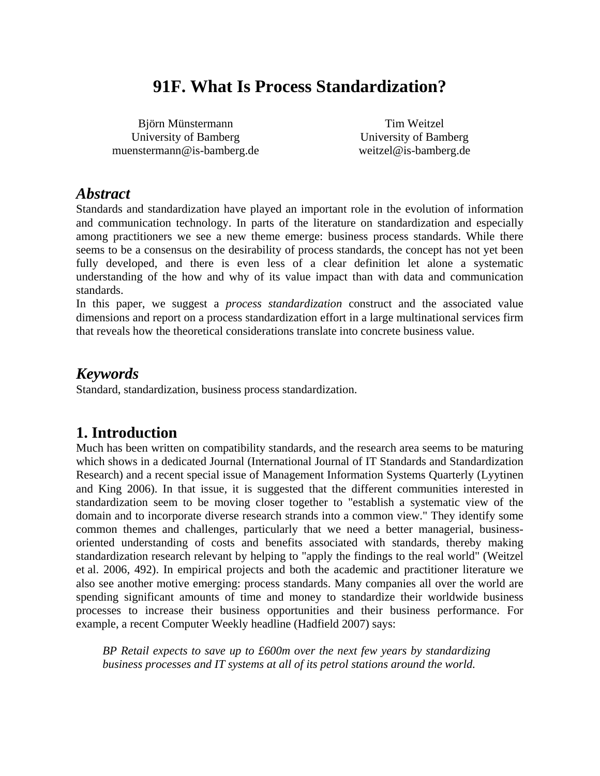# **91F. What Is Process Standardization?**

Björn Münstermann University of Bamberg muenstermann@is-bamberg.de

Tim Weitzel University of Bamberg weitzel@is-bamberg.de

#### *Abstract*

Standards and standardization have played an important role in the evolution of information and communication technology. In parts of the literature on standardization and especially among practitioners we see a new theme emerge: business process standards. While there seems to be a consensus on the desirability of process standards, the concept has not yet been fully developed, and there is even less of a clear definition let alone a systematic understanding of the how and why of its value impact than with data and communication standards.

In this paper, we suggest a *process standardization* construct and the associated value dimensions and report on a process standardization effort in a large multinational services firm that reveals how the theoretical considerations translate into concrete business value.

## *Keywords*

Standard, standardization, business process standardization.

## **1. Introduction**

Much has been written on compatibility standards, and the research area seems to be maturing which shows in a dedicated Journal (International Journal of IT Standards and Standardization Research) and a recent special issue of Management Information Systems Quarterly (Lyytinen and King 2006). In that issue, it is suggested that the different communities interested in standardization seem to be moving closer together to "establish a systematic view of the domain and to incorporate diverse research strands into a common view." They identify some common themes and challenges, particularly that we need a better managerial, businessoriented understanding of costs and benefits associated with standards, thereby making standardization research relevant by helping to "apply the findings to the real world" (Weitzel et al. 2006, 492). In empirical projects and both the academic and practitioner literature we also see another motive emerging: process standards. Many companies all over the world are spending significant amounts of time and money to standardize their worldwide business processes to increase their business opportunities and their business performance. For example, a recent Computer Weekly headline (Hadfield 2007) says:

*BP Retail expects to save up to £600m over the next few years by standardizing business processes and IT systems at all of its petrol stations around the world.*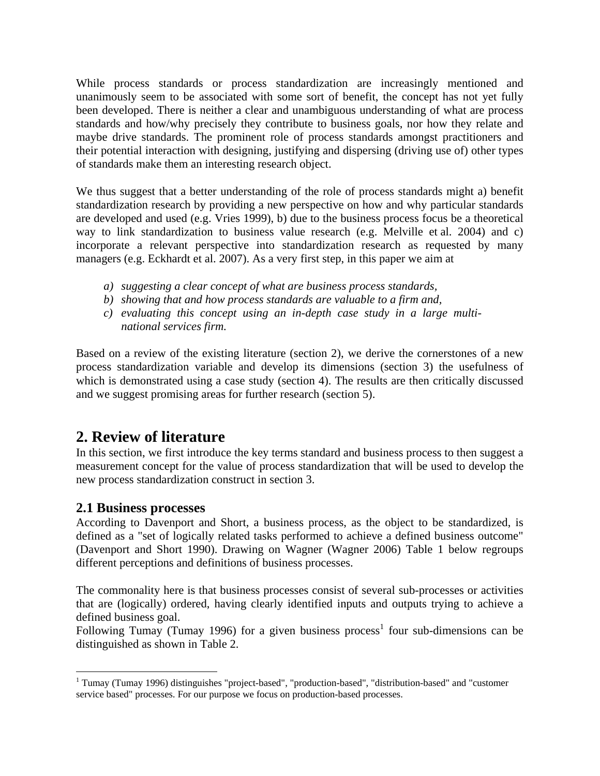While process standards or process standardization are increasingly mentioned and unanimously seem to be associated with some sort of benefit, the concept has not yet fully been developed. There is neither a clear and unambiguous understanding of what are process standards and how/why precisely they contribute to business goals, nor how they relate and maybe drive standards. The prominent role of process standards amongst practitioners and their potential interaction with designing, justifying and dispersing (driving use of) other types of standards make them an interesting research object.

We thus suggest that a better understanding of the role of process standards might a) benefit standardization research by providing a new perspective on how and why particular standards are developed and used (e.g. Vries 1999), b) due to the business process focus be a theoretical way to link standardization to business value research (e.g. Melville et al. 2004) and c) incorporate a relevant perspective into standardization research as requested by many managers (e.g. Eckhardt et al. 2007). As a very first step, in this paper we aim at

- *a) suggesting a clear concept of what are business process standards,*
- *b) showing that and how process standards are valuable to a firm and,*
- *c) evaluating this concept using an in-depth case study in a large multinational services firm.*

Based on a review of the existing literature (section 2), we derive the cornerstones of a new process standardization variable and develop its dimensions (section 3) the usefulness of which is demonstrated using a case study (section 4). The results are then critically discussed and we suggest promising areas for further research (section 5).

# **2. Review of literature**

In this section, we first introduce the key terms standard and business process to then suggest a measurement concept for the value of process standardization that will be used to develop the new process standardization construct in section 3.

#### **2.1 Business processes**

 $\overline{a}$ 

According to Davenport and Short, a business process, as the object to be standardized, is defined as a "set of logically related tasks performed to achieve a defined business outcome" (Davenport and Short 1990). Drawing on Wagner (Wagner 2006) Table 1 below regroups different perceptions and definitions of business processes.

The commonality here is that business processes consist of several sub-processes or activities that are (logically) ordered, having clearly identified inputs and outputs trying to achieve a defined business goal.

Following Tumay (Tumay 1996) for a given business process<sup>1</sup> four sub-dimensions can be distinguished as shown in Table 2.

<sup>&</sup>lt;sup>1</sup> Tumay (Tumay 1996) distinguishes "project-based", "production-based", "distribution-based" and "customer service based" processes. For our purpose we focus on production-based processes.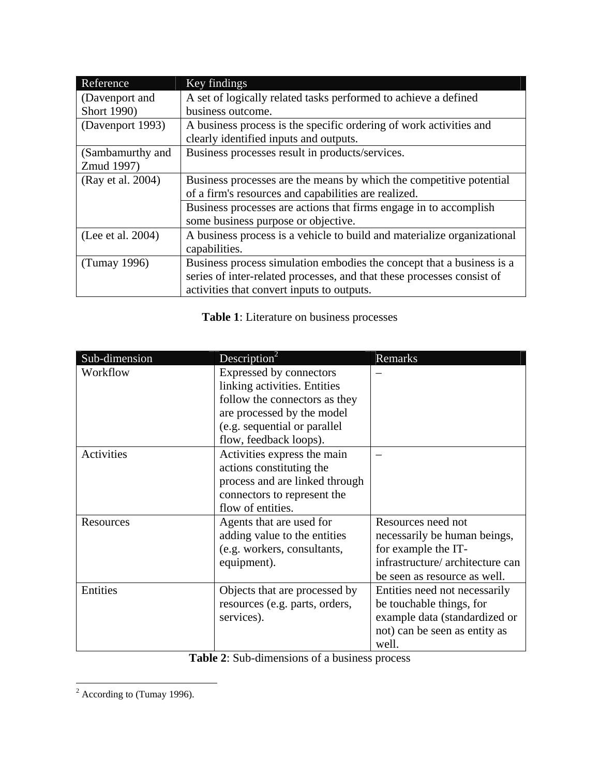| Reference          | Key findings                                                            |
|--------------------|-------------------------------------------------------------------------|
| (Davenport and     | A set of logically related tasks performed to achieve a defined         |
| <b>Short 1990)</b> | business outcome.                                                       |
| (Davenport 1993)   | A business process is the specific ordering of work activities and      |
|                    | clearly identified inputs and outputs.                                  |
| (Sambamurthy and   | Business processes result in products/services.                         |
| Zmud 1997)         |                                                                         |
| (Ray et al. 2004)  | Business processes are the means by which the competitive potential     |
|                    | of a firm's resources and capabilities are realized.                    |
|                    | Business processes are actions that firms engage in to accomplish       |
|                    | some business purpose or objective.                                     |
| (Lee et al. 2004)  | A business process is a vehicle to build and materialize organizational |
|                    | capabilities.                                                           |
| (Tumay 1996)       | Business process simulation embodies the concept that a business is a   |
|                    | series of inter-related processes, and that these processes consist of  |
|                    | activities that convert inputs to outputs.                              |

| Sub-dimension | Description <sup>2</sup>       | Remarks                         |
|---------------|--------------------------------|---------------------------------|
| Workflow      | Expressed by connectors        |                                 |
|               | linking activities. Entities   |                                 |
|               | follow the connectors as they  |                                 |
|               | are processed by the model     |                                 |
|               | (e.g. sequential or parallel   |                                 |
|               | flow, feedback loops).         |                                 |
| Activities    | Activities express the main    |                                 |
|               | actions constituting the       |                                 |
|               | process and are linked through |                                 |
|               | connectors to represent the    |                                 |
|               | flow of entities.              |                                 |
| Resources     | Agents that are used for       | Resources need not              |
|               | adding value to the entities   | necessarily be human beings,    |
|               | (e.g. workers, consultants,    | for example the IT-             |
|               | equipment).                    | infrastructure/architecture can |
|               |                                | be seen as resource as well.    |
| Entities      | Objects that are processed by  | Entities need not necessarily   |
|               | resources (e.g. parts, orders, | be touchable things, for        |
|               | services).                     | example data (standardized or   |
|               |                                | not) can be seen as entity as   |
|               |                                | well.                           |

**Table 1**: Literature on business processes

**Table 2**: Sub-dimensions of a business process

<sup>&</sup>lt;sup>2</sup> According to (Tumay 1996).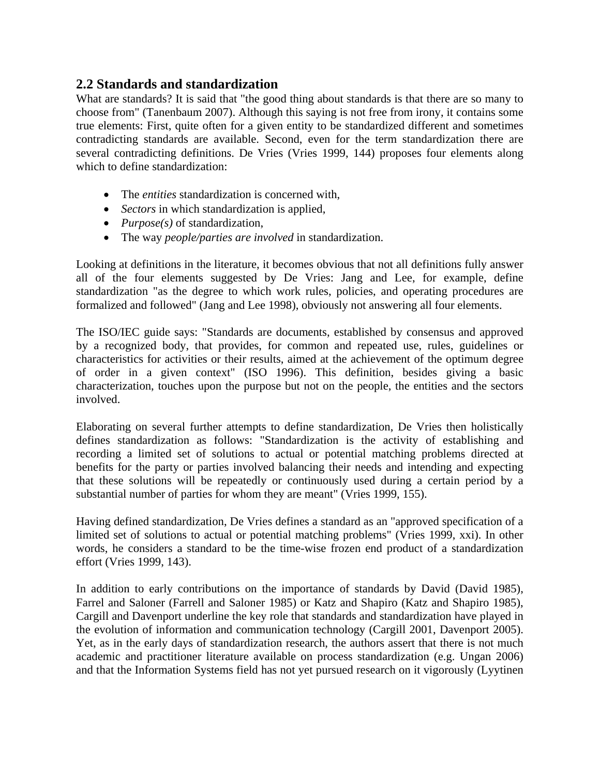#### **2.2 Standards and standardization**

What are standards? It is said that "the good thing about standards is that there are so many to choose from" (Tanenbaum 2007). Although this saying is not free from irony, it contains some true elements: First, quite often for a given entity to be standardized different and sometimes contradicting standards are available. Second, even for the term standardization there are several contradicting definitions. De Vries (Vries 1999, 144) proposes four elements along which to define standardization:

- The *entities* standardization is concerned with,
- *Sectors* in which standardization is applied,
- *Purpose(s)* of standardization,
- The way *people/parties are involved* in standardization.

Looking at definitions in the literature, it becomes obvious that not all definitions fully answer all of the four elements suggested by De Vries: Jang and Lee, for example, define standardization "as the degree to which work rules, policies, and operating procedures are formalized and followed" (Jang and Lee 1998), obviously not answering all four elements.

The ISO/IEC guide says: "Standards are documents, established by consensus and approved by a recognized body, that provides, for common and repeated use, rules, guidelines or characteristics for activities or their results, aimed at the achievement of the optimum degree of order in a given context" (ISO 1996). This definition, besides giving a basic characterization, touches upon the purpose but not on the people, the entities and the sectors involved.

Elaborating on several further attempts to define standardization, De Vries then holistically defines standardization as follows: "Standardization is the activity of establishing and recording a limited set of solutions to actual or potential matching problems directed at benefits for the party or parties involved balancing their needs and intending and expecting that these solutions will be repeatedly or continuously used during a certain period by a substantial number of parties for whom they are meant" (Vries 1999, 155).

Having defined standardization, De Vries defines a standard as an "approved specification of a limited set of solutions to actual or potential matching problems" (Vries 1999, xxi). In other words, he considers a standard to be the time-wise frozen end product of a standardization effort (Vries 1999, 143).

In addition to early contributions on the importance of standards by David (David 1985), Farrel and Saloner (Farrell and Saloner 1985) or Katz and Shapiro (Katz and Shapiro 1985), Cargill and Davenport underline the key role that standards and standardization have played in the evolution of information and communication technology (Cargill 2001, Davenport 2005). Yet, as in the early days of standardization research, the authors assert that there is not much academic and practitioner literature available on process standardization (e.g. Ungan 2006) and that the Information Systems field has not yet pursued research on it vigorously (Lyytinen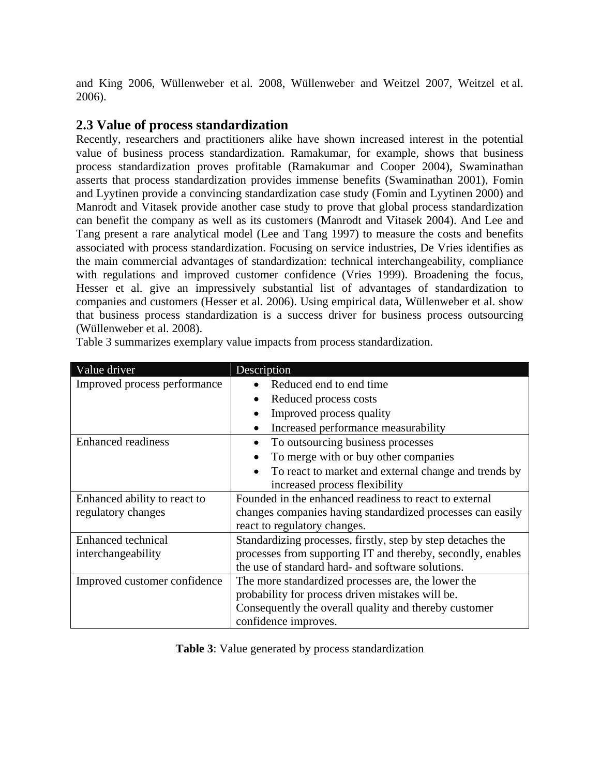and King 2006, Wüllenweber et al. 2008, Wüllenweber and Weitzel 2007, Weitzel et al. 2006).

#### **2.3 Value of process standardization**

Recently, researchers and practitioners alike have shown increased interest in the potential value of business process standardization. Ramakumar, for example, shows that business process standardization proves profitable (Ramakumar and Cooper 2004), Swaminathan asserts that process standardization provides immense benefits (Swaminathan 2001), Fomin and Lyytinen provide a convincing standardization case study (Fomin and Lyytinen 2000) and Manrodt and Vitasek provide another case study to prove that global process standardization can benefit the company as well as its customers (Manrodt and Vitasek 2004). And Lee and Tang present a rare analytical model (Lee and Tang 1997) to measure the costs and benefits associated with process standardization. Focusing on service industries, De Vries identifies as the main commercial advantages of standardization: technical interchangeability, compliance with regulations and improved customer confidence (Vries 1999). Broadening the focus, Hesser et al. give an impressively substantial list of advantages of standardization to companies and customers (Hesser et al. 2006). Using empirical data, Wüllenweber et al. show that business process standardization is a success driver for business process outsourcing (Wüllenweber et al. 2008).

| Value driver                 | Description                                                 |
|------------------------------|-------------------------------------------------------------|
| Improved process performance | Reduced end to end time                                     |
|                              | Reduced process costs                                       |
|                              | Improved process quality                                    |
|                              | Increased performance measurability                         |
| <b>Enhanced</b> readiness    | To outsourcing business processes                           |
|                              | To merge with or buy other companies                        |
|                              | To react to market and external change and trends by        |
|                              | increased process flexibility                               |
| Enhanced ability to react to | Founded in the enhanced readiness to react to external      |
| regulatory changes           | changes companies having standardized processes can easily  |
|                              | react to regulatory changes.                                |
| Enhanced technical           | Standardizing processes, firstly, step by step detaches the |
| interchangeability           | processes from supporting IT and thereby, secondly, enables |
|                              | the use of standard hard- and software solutions.           |
| Improved customer confidence | The more standardized processes are, the lower the          |
|                              | probability for process driven mistakes will be.            |
|                              | Consequently the overall quality and thereby customer       |
|                              | confidence improves.                                        |

Table 3 summarizes exemplary value impacts from process standardization.

**Table 3**: Value generated by process standardization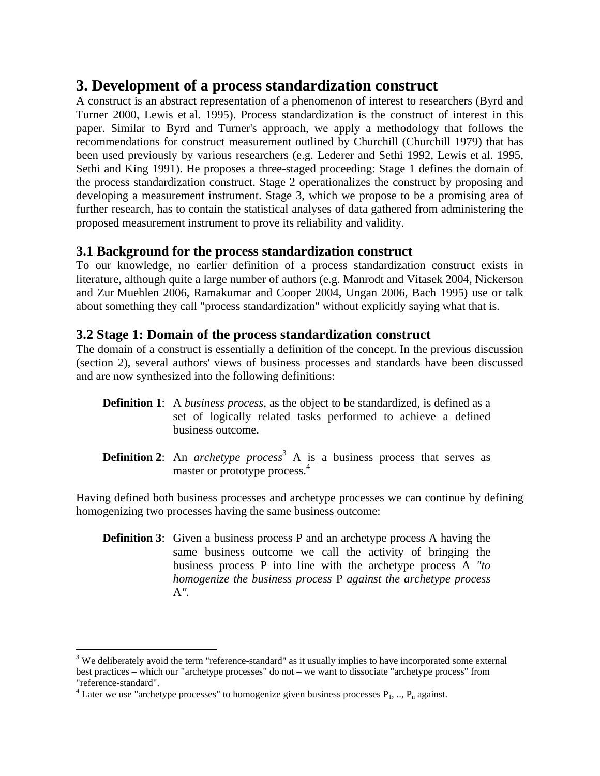## **3. Development of a process standardization construct**

A construct is an abstract representation of a phenomenon of interest to researchers (Byrd and Turner 2000, Lewis et al. 1995). Process standardization is the construct of interest in this paper. Similar to Byrd and Turner's approach, we apply a methodology that follows the recommendations for construct measurement outlined by Churchill (Churchill 1979) that has been used previously by various researchers (e.g. Lederer and Sethi 1992, Lewis et al. 1995, Sethi and King 1991). He proposes a three-staged proceeding: Stage 1 defines the domain of the process standardization construct. Stage 2 operationalizes the construct by proposing and developing a measurement instrument. Stage 3, which we propose to be a promising area of further research, has to contain the statistical analyses of data gathered from administering the proposed measurement instrument to prove its reliability and validity.

#### **3.1 Background for the process standardization construct**

To our knowledge, no earlier definition of a process standardization construct exists in literature, although quite a large number of authors (e.g. Manrodt and Vitasek 2004, Nickerson and Zur Muehlen 2006, Ramakumar and Cooper 2004, Ungan 2006, Bach 1995) use or talk about something they call "process standardization" without explicitly saying what that is.

#### **3.2 Stage 1: Domain of the process standardization construct**

The domain of a construct is essentially a definition of the concept. In the previous discussion (section 2), several authors' views of business processes and standards have been discussed and are now synthesized into the following definitions:

- **Definition 1**: A *business process*, as the object to be standardized, is defined as a set of logically related tasks performed to achieve a defined business outcome.
- **Definition 2**: An *archetype process*<sup>3</sup> A is a business process that serves as master or prototype process.<sup>4</sup>

Having defined both business processes and archetype processes we can continue by defining homogenizing two processes having the same business outcome:

**Definition 3:** Given a business process P and an archetype process A having the same business outcome we call the activity of bringing the business process P into line with the archetype process A *"to homogenize the business process* P *against the archetype process*  A*".*

 $\overline{a}$ 

 $3$  We deliberately avoid the term "reference-standard" as it usually implies to have incorporated some external best practices – which our "archetype processes" do not – we want to dissociate "archetype process" from "reference-standard".

<sup>&</sup>lt;sup>4</sup> Later we use "archetype processes" to homogenize given business processes  $P_1, ..., P_n$  against.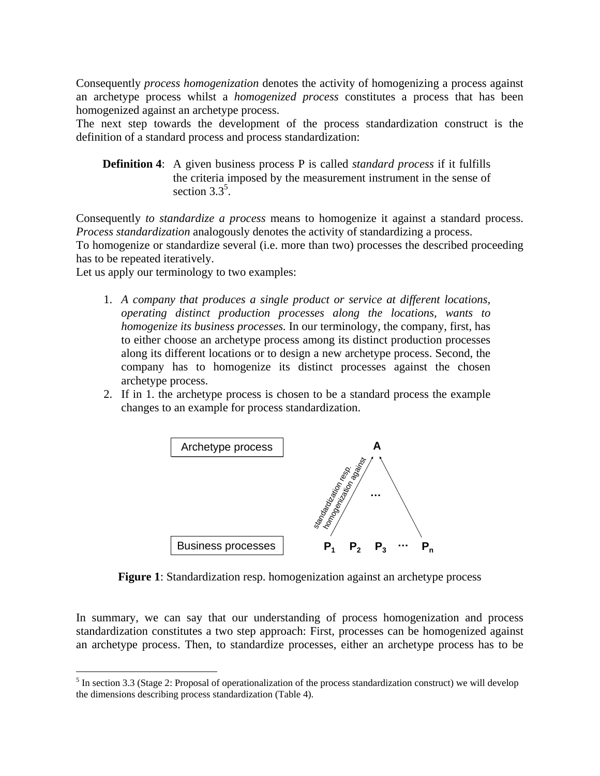Consequently *process homogenization* denotes the activity of homogenizing a process against an archetype process whilst a *homogenized process* constitutes a process that has been homogenized against an archetype process.

The next step towards the development of the process standardization construct is the definition of a standard process and process standardization:

**Definition 4**: A given business process P is called *standard process* if it fulfills the criteria imposed by the measurement instrument in the sense of section  $3.3^5$ .

Consequently *to standardize a process* means to homogenize it against a standard process. *Process standardization* analogously denotes the activity of standardizing a process. To homogenize or standardize several (i.e. more than two) processes the described proceeding has to be repeated iteratively.

Let us apply our terminology to two examples:

 $\overline{a}$ 

- 1. *A company that produces a single product or service at different locations, operating distinct production processes along the locations, wants to homogenize its business processes.* In our terminology, the company, first, has to either choose an archetype process among its distinct production processes along its different locations or to design a new archetype process. Second, the company has to homogenize its distinct processes against the chosen archetype process.
- 2. If in 1. the archetype process is chosen to be a standard process the example changes to an example for process standardization.



**Figure 1**: Standardization resp. homogenization against an archetype process

In summary, we can say that our understanding of process homogenization and process standardization constitutes a two step approach: First, processes can be homogenized against an archetype process. Then, to standardize processes, either an archetype process has to be

 $<sup>5</sup>$  In section 3.3 (Stage 2: Proposal of operationalization of the process standardization construct) we will develop</sup> the dimensions describing process standardization (Table 4).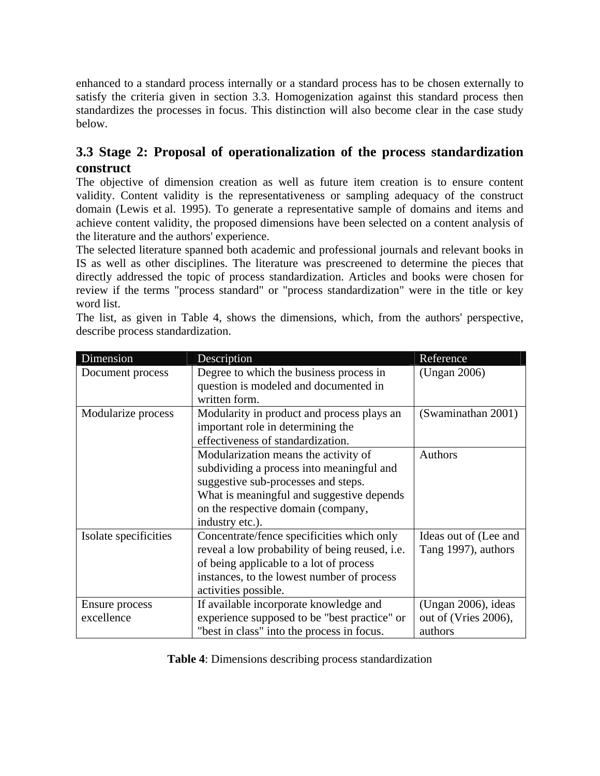enhanced to a standard process internally or a standard process has to be chosen externally to satisfy the criteria given in section 3.3. Homogenization against this standard process then standardizes the processes in focus. This distinction will also become clear in the case study below.

#### **3.3 Stage 2: Proposal of operationalization of the process standardization construct**

The objective of dimension creation as well as future item creation is to ensure content validity. Content validity is the representativeness or sampling adequacy of the construct domain (Lewis et al. 1995). To generate a representative sample of domains and items and achieve content validity, the proposed dimensions have been selected on a content analysis of the literature and the authors' experience.

The selected literature spanned both academic and professional journals and relevant books in IS as well as other disciplines. The literature was prescreened to determine the pieces that directly addressed the topic of process standardization. Articles and books were chosen for review if the terms "process standard" or "process standardization" were in the title or key word list.

| Dimension             | Description                                    | Reference             |
|-----------------------|------------------------------------------------|-----------------------|
| Document process      | Degree to which the business process in        | (Ungan 2006)          |
|                       | question is modeled and documented in          |                       |
|                       | written form.                                  |                       |
| Modularize process    | Modularity in product and process plays an     | (Swaminathan 2001)    |
|                       | important role in determining the              |                       |
|                       | effectiveness of standardization.              |                       |
|                       | Modularization means the activity of           | Authors               |
|                       | subdividing a process into meaningful and      |                       |
|                       | suggestive sub-processes and steps.            |                       |
|                       | What is meaningful and suggestive depends      |                       |
|                       | on the respective domain (company,             |                       |
|                       | industry etc.).                                |                       |
| Isolate specificities | Concentrate/fence specificities which only     | Ideas out of (Lee and |
|                       | reveal a low probability of being reused, i.e. | Tang 1997), authors   |
|                       | of being applicable to a lot of process        |                       |
|                       | instances, to the lowest number of process     |                       |
|                       | activities possible.                           |                       |
| Ensure process        | If available incorporate knowledge and         | (Ungan 2006), ideas   |
| excellence            | experience supposed to be "best practice" or   | out of (Vries 2006),  |
|                       | "best in class" into the process in focus.     | authors               |

The list, as given in Table 4, shows the dimensions, which, from the authors' perspective, describe process standardization.

**Table 4**: Dimensions describing process standardization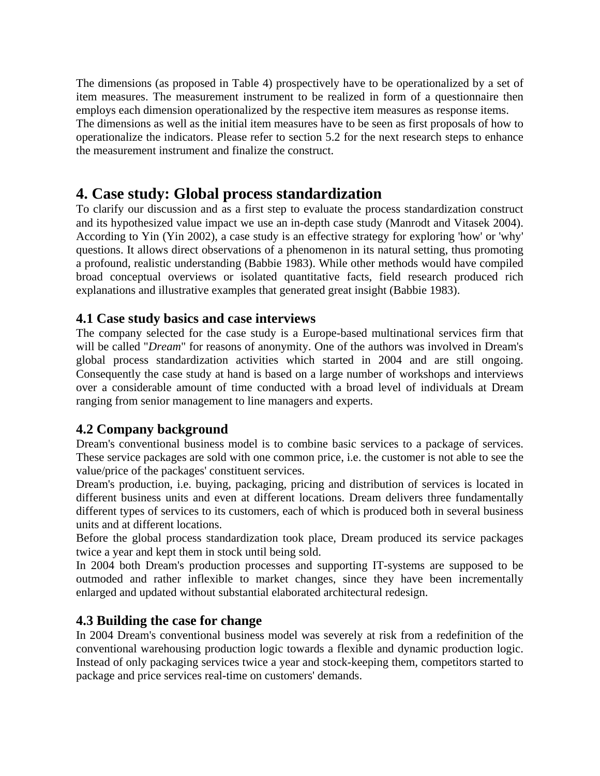The dimensions (as proposed in Table 4) prospectively have to be operationalized by a set of item measures. The measurement instrument to be realized in form of a questionnaire then employs each dimension operationalized by the respective item measures as response items. The dimensions as well as the initial item measures have to be seen as first proposals of how to operationalize the indicators. Please refer to section 5.2 for the next research steps to enhance the measurement instrument and finalize the construct.

## **4. Case study: Global process standardization**

To clarify our discussion and as a first step to evaluate the process standardization construct and its hypothesized value impact we use an in-depth case study (Manrodt and Vitasek 2004). According to Yin (Yin 2002), a case study is an effective strategy for exploring 'how' or 'why' questions. It allows direct observations of a phenomenon in its natural setting, thus promoting a profound, realistic understanding (Babbie 1983). While other methods would have compiled broad conceptual overviews or isolated quantitative facts, field research produced rich explanations and illustrative examples that generated great insight (Babbie 1983).

#### **4.1 Case study basics and case interviews**

The company selected for the case study is a Europe-based multinational services firm that will be called "*Dream*" for reasons of anonymity. One of the authors was involved in Dream's global process standardization activities which started in 2004 and are still ongoing. Consequently the case study at hand is based on a large number of workshops and interviews over a considerable amount of time conducted with a broad level of individuals at Dream ranging from senior management to line managers and experts.

#### **4.2 Company background**

Dream's conventional business model is to combine basic services to a package of services. These service packages are sold with one common price, i.e. the customer is not able to see the value/price of the packages' constituent services.

Dream's production, i.e. buying, packaging, pricing and distribution of services is located in different business units and even at different locations. Dream delivers three fundamentally different types of services to its customers, each of which is produced both in several business units and at different locations.

Before the global process standardization took place, Dream produced its service packages twice a year and kept them in stock until being sold.

In 2004 both Dream's production processes and supporting IT-systems are supposed to be outmoded and rather inflexible to market changes, since they have been incrementally enlarged and updated without substantial elaborated architectural redesign.

#### **4.3 Building the case for change**

In 2004 Dream's conventional business model was severely at risk from a redefinition of the conventional warehousing production logic towards a flexible and dynamic production logic. Instead of only packaging services twice a year and stock-keeping them, competitors started to package and price services real-time on customers' demands.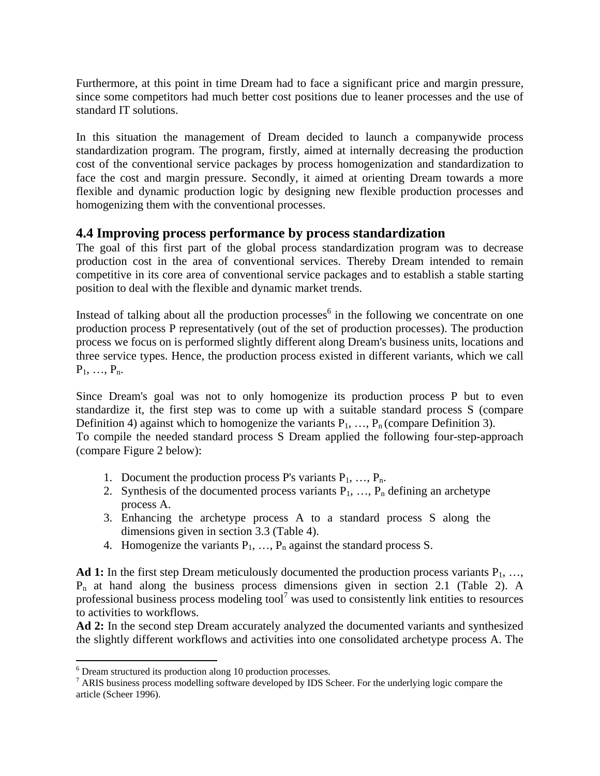Furthermore, at this point in time Dream had to face a significant price and margin pressure, since some competitors had much better cost positions due to leaner processes and the use of standard IT solutions.

In this situation the management of Dream decided to launch a companywide process standardization program. The program, firstly, aimed at internally decreasing the production cost of the conventional service packages by process homogenization and standardization to face the cost and margin pressure. Secondly, it aimed at orienting Dream towards a more flexible and dynamic production logic by designing new flexible production processes and homogenizing them with the conventional processes.

#### **4.4 Improving process performance by process standardization**

The goal of this first part of the global process standardization program was to decrease production cost in the area of conventional services. Thereby Dream intended to remain competitive in its core area of conventional service packages and to establish a stable starting position to deal with the flexible and dynamic market trends.

Instead of talking about all the production processes<sup>6</sup> in the following we concentrate on one production process P representatively (out of the set of production processes). The production process we focus on is performed slightly different along Dream's business units, locations and three service types. Hence, the production process existed in different variants, which we call  $P_1, \ldots, P_n$ .

Since Dream's goal was not to only homogenize its production process P but to even standardize it, the first step was to come up with a suitable standard process S (compare Definition 4) against which to homogenize the variants  $P_1, ..., P_n$  (compare Definition 3).

To compile the needed standard process S Dream applied the following four-step-approach (compare Figure 2 below):

- 1. Document the production process P's variants  $P_1, \ldots, P_n$ .
- 2. Synthesis of the documented process variants  $P_1, \ldots, P_n$  defining an archetype process A.
- 3. Enhancing the archetype process A to a standard process S along the dimensions given in section 3.3 (Table 4).
- 4. Homogenize the variants  $P_1, \ldots, P_n$  against the standard process S.

Ad 1: In the first step Dream meticulously documented the production process variants  $P_1, \ldots, P_k$  $P_n$  at hand along the business process dimensions given in section 2.1 (Table 2). A professional business process modeling tool<sup>7</sup> was used to consistently link entities to resources to activities to workflows.

**Ad 2:** In the second step Dream accurately analyzed the documented variants and synthesized the slightly different workflows and activities into one consolidated archetype process A. The

 $\overline{a}$ 

<sup>6</sup> Dream structured its production along 10 production processes.

<sup>&</sup>lt;sup>7</sup> ARIS business process modelling software developed by IDS Scheer. For the underlying logic compare the article (Scheer 1996).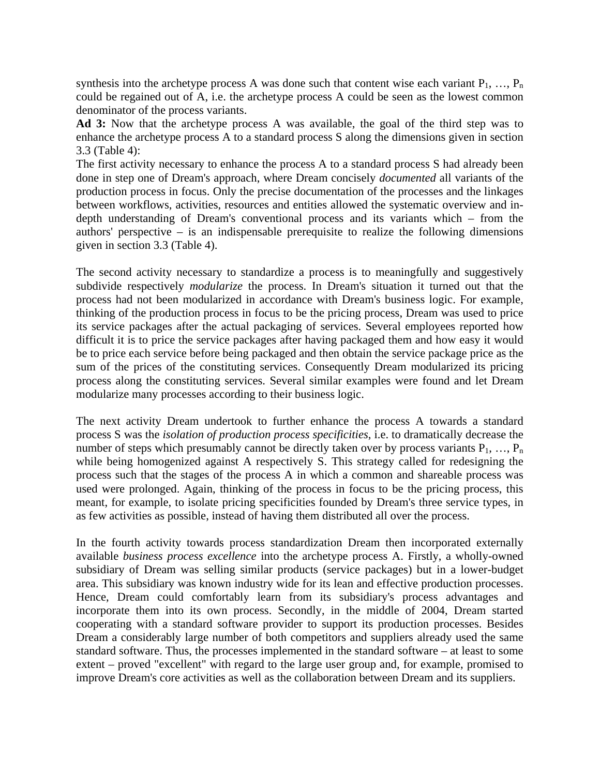synthesis into the archetype process A was done such that content wise each variant  $P_1, ..., P_n$ could be regained out of A, i.e. the archetype process A could be seen as the lowest common denominator of the process variants.

**Ad 3:** Now that the archetype process A was available, the goal of the third step was to enhance the archetype process A to a standard process S along the dimensions given in section 3.3 (Table 4):

The first activity necessary to enhance the process A to a standard process S had already been done in step one of Dream's approach, where Dream concisely *documented* all variants of the production process in focus. Only the precise documentation of the processes and the linkages between workflows, activities, resources and entities allowed the systematic overview and indepth understanding of Dream's conventional process and its variants which – from the authors' perspective – is an indispensable prerequisite to realize the following dimensions given in section 3.3 (Table 4).

The second activity necessary to standardize a process is to meaningfully and suggestively subdivide respectively *modularize* the process. In Dream's situation it turned out that the process had not been modularized in accordance with Dream's business logic. For example, thinking of the production process in focus to be the pricing process, Dream was used to price its service packages after the actual packaging of services. Several employees reported how difficult it is to price the service packages after having packaged them and how easy it would be to price each service before being packaged and then obtain the service package price as the sum of the prices of the constituting services. Consequently Dream modularized its pricing process along the constituting services. Several similar examples were found and let Dream modularize many processes according to their business logic.

The next activity Dream undertook to further enhance the process A towards a standard process S was the *isolation of production process specificities*, i.e. to dramatically decrease the number of steps which presumably cannot be directly taken over by process variants  $P_1, ..., P_n$ while being homogenized against A respectively S. This strategy called for redesigning the process such that the stages of the process A in which a common and shareable process was used were prolonged. Again, thinking of the process in focus to be the pricing process, this meant, for example, to isolate pricing specificities founded by Dream's three service types, in as few activities as possible, instead of having them distributed all over the process.

In the fourth activity towards process standardization Dream then incorporated externally available *business process excellence* into the archetype process A. Firstly, a wholly-owned subsidiary of Dream was selling similar products (service packages) but in a lower-budget area. This subsidiary was known industry wide for its lean and effective production processes. Hence, Dream could comfortably learn from its subsidiary's process advantages and incorporate them into its own process. Secondly, in the middle of 2004, Dream started cooperating with a standard software provider to support its production processes. Besides Dream a considerably large number of both competitors and suppliers already used the same standard software. Thus, the processes implemented in the standard software – at least to some extent – proved "excellent" with regard to the large user group and, for example, promised to improve Dream's core activities as well as the collaboration between Dream and its suppliers.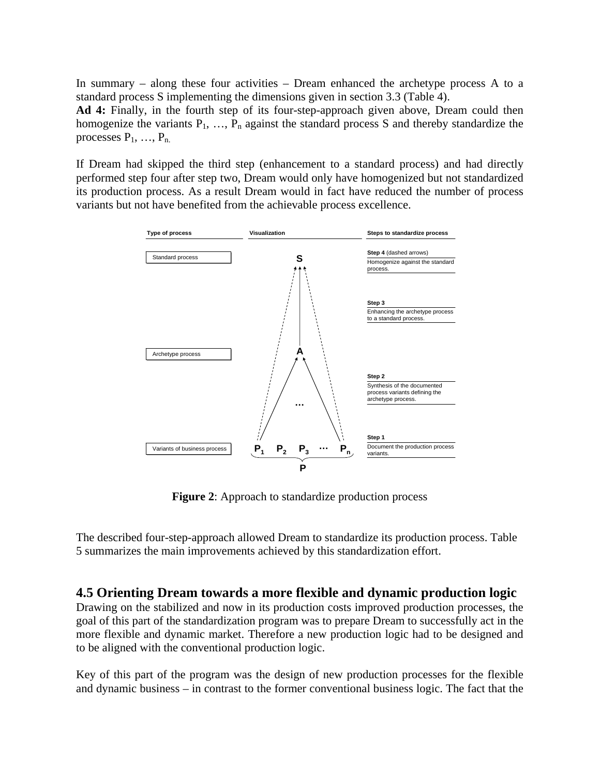In summary – along these four activities – Dream enhanced the archetype process A to a standard process S implementing the dimensions given in section 3.3 (Table 4).

**Ad 4:** Finally, in the fourth step of its four-step-approach given above, Dream could then homogenize the variants  $P_1, \ldots, P_n$  against the standard process S and thereby standardize the processes  $P_1, \ldots, P_n$ .

If Dream had skipped the third step (enhancement to a standard process) and had directly performed step four after step two, Dream would only have homogenized but not standardized its production process. As a result Dream would in fact have reduced the number of process variants but not have benefited from the achievable process excellence.



**Figure 2**: Approach to standardize production process

The described four-step-approach allowed Dream to standardize its production process. Table 5 summarizes the main improvements achieved by this standardization effort.

#### **4.5 Orienting Dream towards a more flexible and dynamic production logic**

Drawing on the stabilized and now in its production costs improved production processes, the goal of this part of the standardization program was to prepare Dream to successfully act in the more flexible and dynamic market. Therefore a new production logic had to be designed and to be aligned with the conventional production logic.

Key of this part of the program was the design of new production processes for the flexible and dynamic business – in contrast to the former conventional business logic. The fact that the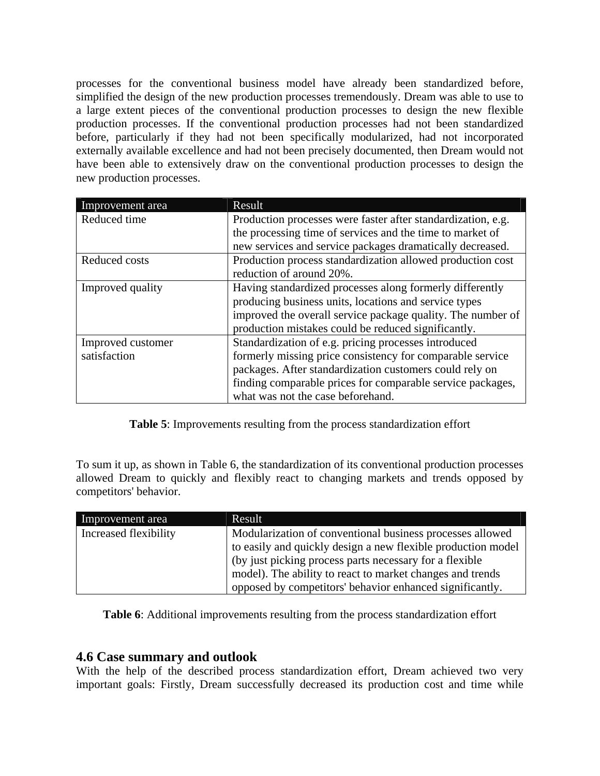processes for the conventional business model have already been standardized before, simplified the design of the new production processes tremendously. Dream was able to use to a large extent pieces of the conventional production processes to design the new flexible production processes. If the conventional production processes had not been standardized before, particularly if they had not been specifically modularized, had not incorporated externally available excellence and had not been precisely documented, then Dream would not have been able to extensively draw on the conventional production processes to design the new production processes.

| Improvement area  | Result                                                       |
|-------------------|--------------------------------------------------------------|
| Reduced time      | Production processes were faster after standardization, e.g. |
|                   | the processing time of services and the time to market of    |
|                   | new services and service packages dramatically decreased.    |
| Reduced costs     | Production process standardization allowed production cost   |
|                   | reduction of around 20%.                                     |
| Improved quality  | Having standardized processes along formerly differently     |
|                   | producing business units, locations and service types        |
|                   | improved the overall service package quality. The number of  |
|                   | production mistakes could be reduced significantly.          |
| Improved customer | Standardization of e.g. pricing processes introduced         |
| satisfaction      | formerly missing price consistency for comparable service    |
|                   | packages. After standardization customers could rely on      |
|                   | finding comparable prices for comparable service packages,   |
|                   | what was not the case beforehand.                            |

**Table 5**: Improvements resulting from the process standardization effort

To sum it up, as shown in Table 6, the standardization of its conventional production processes allowed Dream to quickly and flexibly react to changing markets and trends opposed by competitors' behavior.

| Improvement area      | Result                                                       |
|-----------------------|--------------------------------------------------------------|
| Increased flexibility | Modularization of conventional business processes allowed    |
|                       | to easily and quickly design a new flexible production model |
|                       | (by just picking process parts necessary for a flexible)     |
|                       | model). The ability to react to market changes and trends    |
|                       | opposed by competitors' behavior enhanced significantly.     |

**Table 6**: Additional improvements resulting from the process standardization effort

#### **4.6 Case summary and outlook**

With the help of the described process standardization effort, Dream achieved two very important goals: Firstly, Dream successfully decreased its production cost and time while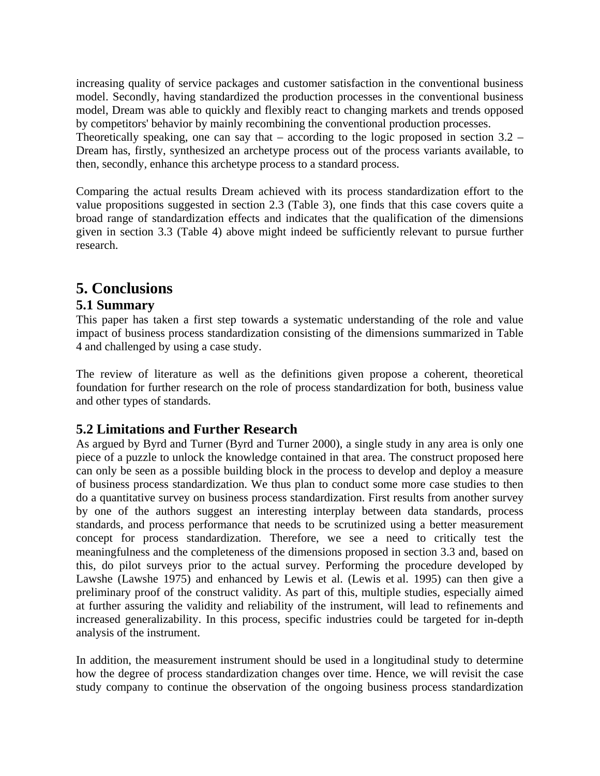increasing quality of service packages and customer satisfaction in the conventional business model. Secondly, having standardized the production processes in the conventional business model, Dream was able to quickly and flexibly react to changing markets and trends opposed by competitors' behavior by mainly recombining the conventional production processes. Theoretically speaking, one can say that – according to the logic proposed in section  $3.2$  – Dream has, firstly, synthesized an archetype process out of the process variants available, to then, secondly, enhance this archetype process to a standard process.

Comparing the actual results Dream achieved with its process standardization effort to the value propositions suggested in section 2.3 (Table 3), one finds that this case covers quite a broad range of standardization effects and indicates that the qualification of the dimensions given in section 3.3 (Table 4) above might indeed be sufficiently relevant to pursue further research.

# **5. Conclusions**

#### **5.1 Summary**

This paper has taken a first step towards a systematic understanding of the role and value impact of business process standardization consisting of the dimensions summarized in Table 4 and challenged by using a case study.

The review of literature as well as the definitions given propose a coherent, theoretical foundation for further research on the role of process standardization for both, business value and other types of standards.

#### **5.2 Limitations and Further Research**

As argued by Byrd and Turner (Byrd and Turner 2000), a single study in any area is only one piece of a puzzle to unlock the knowledge contained in that area. The construct proposed here can only be seen as a possible building block in the process to develop and deploy a measure of business process standardization. We thus plan to conduct some more case studies to then do a quantitative survey on business process standardization. First results from another survey by one of the authors suggest an interesting interplay between data standards, process standards, and process performance that needs to be scrutinized using a better measurement concept for process standardization. Therefore, we see a need to critically test the meaningfulness and the completeness of the dimensions proposed in section 3.3 and, based on this, do pilot surveys prior to the actual survey. Performing the procedure developed by Lawshe (Lawshe 1975) and enhanced by Lewis et al. (Lewis et al. 1995) can then give a preliminary proof of the construct validity. As part of this, multiple studies, especially aimed at further assuring the validity and reliability of the instrument, will lead to refinements and increased generalizability. In this process, specific industries could be targeted for in-depth analysis of the instrument.

In addition, the measurement instrument should be used in a longitudinal study to determine how the degree of process standardization changes over time. Hence, we will revisit the case study company to continue the observation of the ongoing business process standardization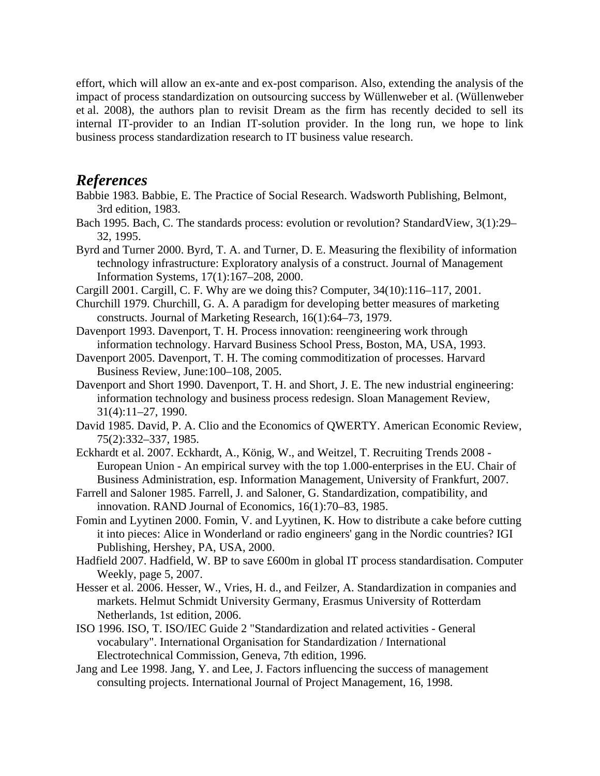effort, which will allow an ex-ante and ex-post comparison. Also, extending the analysis of the impact of process standardization on outsourcing success by Wüllenweber et al. (Wüllenweber et al. 2008), the authors plan to revisit Dream as the firm has recently decided to sell its internal IT-provider to an Indian IT-solution provider. In the long run, we hope to link business process standardization research to IT business value research.

## *References*

- Babbie 1983. Babbie, E. The Practice of Social Research. Wadsworth Publishing, Belmont, 3rd edition, 1983.
- Bach 1995. Bach, C. The standards process: evolution or revolution? StandardView, 3(1):29– 32, 1995.
- Byrd and Turner 2000. Byrd, T. A. and Turner, D. E. Measuring the flexibility of information technology infrastructure: Exploratory analysis of a construct. Journal of Management Information Systems, 17(1):167–208, 2000.

Cargill 2001. Cargill, C. F. Why are we doing this? Computer, 34(10):116–117, 2001.

- Churchill 1979. Churchill, G. A. A paradigm for developing better measures of marketing constructs. Journal of Marketing Research, 16(1):64–73, 1979.
- Davenport 1993. Davenport, T. H. Process innovation: reengineering work through information technology. Harvard Business School Press, Boston, MA, USA, 1993.
- Davenport 2005. Davenport, T. H. The coming commoditization of processes. Harvard Business Review, June:100–108, 2005.
- Davenport and Short 1990. Davenport, T. H. and Short, J. E. The new industrial engineering: information technology and business process redesign. Sloan Management Review, 31(4):11–27, 1990.
- David 1985. David, P. A. Clio and the Economics of QWERTY. American Economic Review, 75(2):332–337, 1985.
- Eckhardt et al. 2007. Eckhardt, A., König, W., and Weitzel, T. Recruiting Trends 2008 European Union - An empirical survey with the top 1.000-enterprises in the EU. Chair of Business Administration, esp. Information Management, University of Frankfurt, 2007.
- Farrell and Saloner 1985. Farrell, J. and Saloner, G. Standardization, compatibility, and innovation. RAND Journal of Economics, 16(1):70–83, 1985.
- Fomin and Lyytinen 2000. Fomin, V. and Lyytinen, K. How to distribute a cake before cutting it into pieces: Alice in Wonderland or radio engineers' gang in the Nordic countries? IGI Publishing, Hershey, PA, USA, 2000.
- Hadfield 2007. Hadfield, W. BP to save £600m in global IT process standardisation. Computer Weekly, page 5, 2007.
- Hesser et al. 2006. Hesser, W., Vries, H. d., and Feilzer, A. Standardization in companies and markets. Helmut Schmidt University Germany, Erasmus University of Rotterdam Netherlands, 1st edition, 2006.
- ISO 1996. ISO, T. ISO/IEC Guide 2 "Standardization and related activities General vocabulary". International Organisation for Standardization / International Electrotechnical Commission, Geneva, 7th edition, 1996.
- Jang and Lee 1998. Jang, Y. and Lee, J. Factors influencing the success of management consulting projects. International Journal of Project Management, 16, 1998.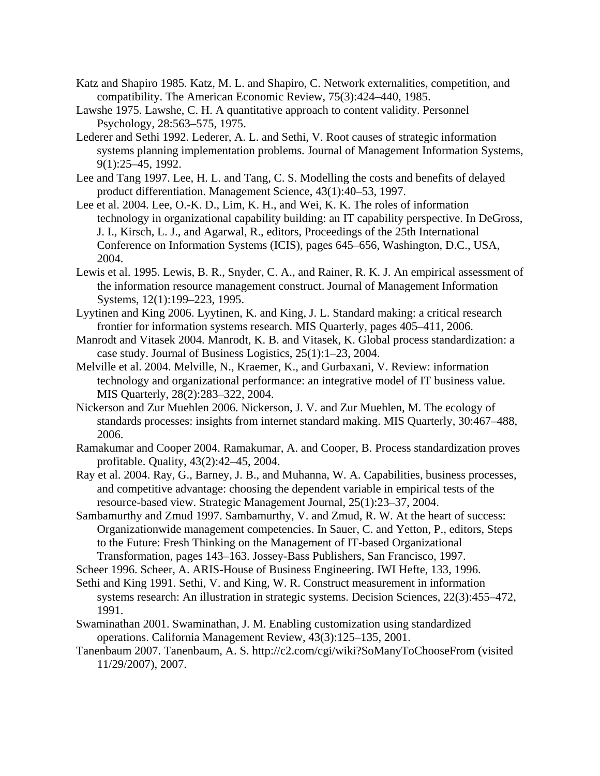- Katz and Shapiro 1985. Katz, M. L. and Shapiro, C. Network externalities, competition, and compatibility. The American Economic Review, 75(3):424–440, 1985.
- Lawshe 1975. Lawshe, C. H. A quantitative approach to content validity. Personnel Psychology, 28:563–575, 1975.
- Lederer and Sethi 1992. Lederer, A. L. and Sethi, V. Root causes of strategic information systems planning implementation problems. Journal of Management Information Systems, 9(1):25–45, 1992.
- Lee and Tang 1997. Lee, H. L. and Tang, C. S. Modelling the costs and benefits of delayed product differentiation. Management Science, 43(1):40–53, 1997.
- Lee et al. 2004. Lee, O.-K. D., Lim, K. H., and Wei, K. K. The roles of information technology in organizational capability building: an IT capability perspective. In DeGross, J. I., Kirsch, L. J., and Agarwal, R., editors, Proceedings of the 25th International Conference on Information Systems (ICIS), pages 645–656, Washington, D.C., USA, 2004.
- Lewis et al. 1995. Lewis, B. R., Snyder, C. A., and Rainer, R. K. J. An empirical assessment of the information resource management construct. Journal of Management Information Systems, 12(1):199–223, 1995.
- Lyytinen and King 2006. Lyytinen, K. and King, J. L. Standard making: a critical research frontier for information systems research. MIS Quarterly, pages 405–411, 2006.
- Manrodt and Vitasek 2004. Manrodt, K. B. and Vitasek, K. Global process standardization: a case study. Journal of Business Logistics, 25(1):1–23, 2004.
- Melville et al. 2004. Melville, N., Kraemer, K., and Gurbaxani, V. Review: information technology and organizational performance: an integrative model of IT business value. MIS Quarterly, 28(2):283–322, 2004.
- Nickerson and Zur Muehlen 2006. Nickerson, J. V. and Zur Muehlen, M. The ecology of standards processes: insights from internet standard making. MIS Quarterly, 30:467–488, 2006.
- Ramakumar and Cooper 2004. Ramakumar, A. and Cooper, B. Process standardization proves profitable. Quality, 43(2):42–45, 2004.
- Ray et al. 2004. Ray, G., Barney, J. B., and Muhanna, W. A. Capabilities, business processes, and competitive advantage: choosing the dependent variable in empirical tests of the resource-based view. Strategic Management Journal, 25(1):23–37, 2004.
- Sambamurthy and Zmud 1997. Sambamurthy, V. and Zmud, R. W. At the heart of success: Organizationwide management competencies. In Sauer, C. and Yetton, P., editors, Steps to the Future: Fresh Thinking on the Management of IT-based Organizational Transformation, pages 143–163. Jossey-Bass Publishers, San Francisco, 1997.
- Scheer 1996. Scheer, A. ARIS-House of Business Engineering. IWI Hefte, 133, 1996.
- Sethi and King 1991. Sethi, V. and King, W. R. Construct measurement in information systems research: An illustration in strategic systems. Decision Sciences, 22(3):455–472, 1991.
- Swaminathan 2001. Swaminathan, J. M. Enabling customization using standardized operations. California Management Review, 43(3):125–135, 2001.
- Tanenbaum 2007. Tanenbaum, A. S. http://c2.com/cgi/wiki?SoManyToChooseFrom (visited 11/29/2007), 2007.